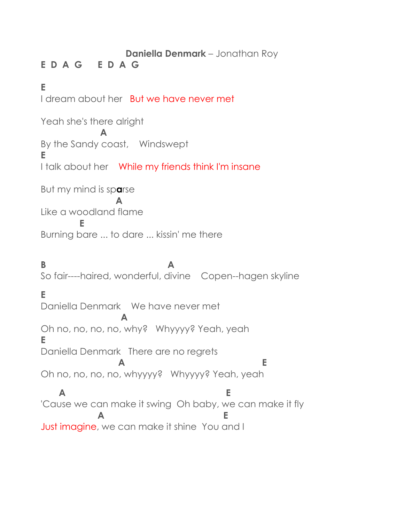#### **Daniella Denmark** – Jonathan Roy

# **E D A G E D A G**

# **E**

I dream about her But we have never met Yeah she's there alright  **A** By the Sandy coast, Windswept **E** I talk about her While my friends think I'm insane But my mind is sp**a**rse  **A** Like a woodland flame  **E** Burning bare ... to dare ... kissin' me there **B A** So fair----haired, wonderful, divine Copen--hagen skyline **E** Daniella Denmark We have never met  **A** Oh no, no, no, no, why? Whyyyy? Yeah, yeah **E** Daniella Denmark There are no regrets  **A E** Oh no, no, no, no, whyyyy? Whyyyy? Yeah, yeah  **A E** 'Cause we can make it swing Oh baby, we can make it fly **A E** Just imagine, we can make it shine You and I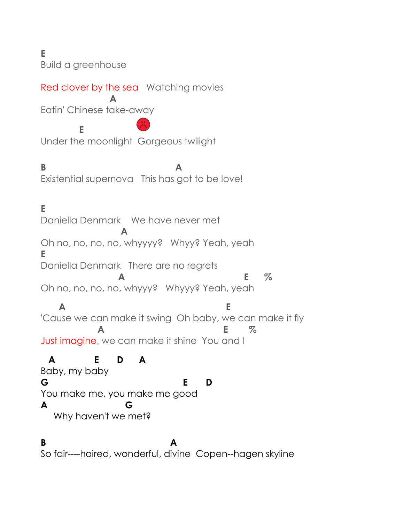**E**

Build a greenhouse

**E** 

### Red clover by the sea Watching movies

 **A** Eatin' Chinese take-away

Under the moonlight Gorgeous twilight

**B** A Existential supernova This has got to be love!

# **E**

Daniella Denmark We have never met  **A** Oh no, no, no, no, whyyyy? Whyy? Yeah, yeah **E** Daniella Denmark There are no regrets  **A E %** Oh no, no, no, no, whyyy? Whyyy? Yeah, yeah  **A E** 'Cause we can make it swing Oh baby, we can make it fly **A E %** Just imagine, we can make it shine You and I

### **A E D A**

Baby, my baby **G E D** You make me, you make me good **A G** Why haven't we met?

#### **B** A So fair----haired, wonderful, divine Copen--hagen skyline